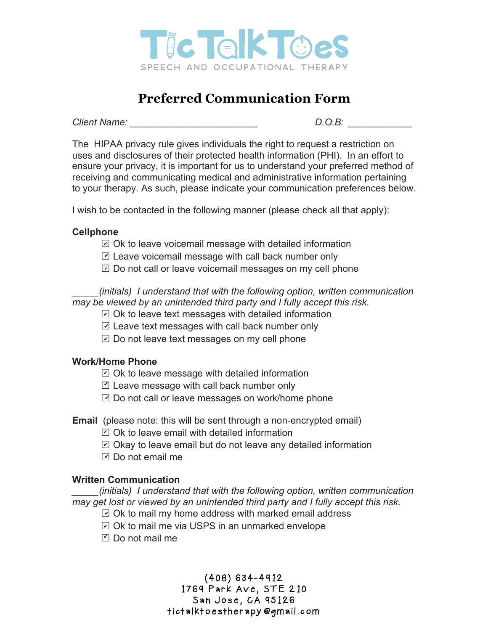

# **Preferred Communication Form**

*Client Name: \_\_\_\_\_\_\_\_\_\_\_\_\_\_\_\_\_\_\_\_\_\_\_\_ D.O.B: \_\_\_\_\_\_\_\_\_\_\_\_*

The HIPAA privacy rule gives individuals the right to request a restriction on uses and disclosures of their protected health information (PHI). In an effort to ensure your privacy, it is important for us to understand your preferred method of receiving and communicating medical and administrative information pertaining to your therapy. As such, please indicate your communication preferences below.

I wish to be contacted in the following manner (please check all that apply):

### **Cellphone**

- $\boxdot$  Ok to leave voicemail message with detailed information
- $□$  Leave voicemail message with call back number only
- $\boxdot$  Do not call or leave voicemail messages on my cell phone

*\_\_\_\_\_(initials) I understand that with the following option, written communication may be viewed by an unintended third party and I fully accept this risk.* 

 $\boxdot$  Ok to leave text messages with detailed information

- $□$  Leave text messages with call back number only
- $\nabla$  Do not leave text messages on my cell phone

### **Work/Home Phone**

- $\boxdot$  Ok to leave message with detailed information
- Leave message with call back number only
- $□$  Do not call or leave messages on work/home phone
- **Email** (please note: this will be sent through a non-encrypted email)
	- $\boxdot$  Ok to leave email with detailed information
	- $\boxdot$  Okay to leave email but do not leave any detailed information
	- $□$  Do not email me

### **Written Communication**

*\_\_\_\_\_(initials) I understand that with the following option, written communication may get lost or viewed by an unintended third party and I fully accept this risk.* 

- $\boxdot$  Ok to mail my home address with marked email address
- $\boxdot$  Ok to mail me via USPS in an unmarked envelope
- □ Do not mail me

## (408) 634-4912 1769 Park Ave, STE 210 San Jose, CA 95126 tictalktoestherapy@gmail.com